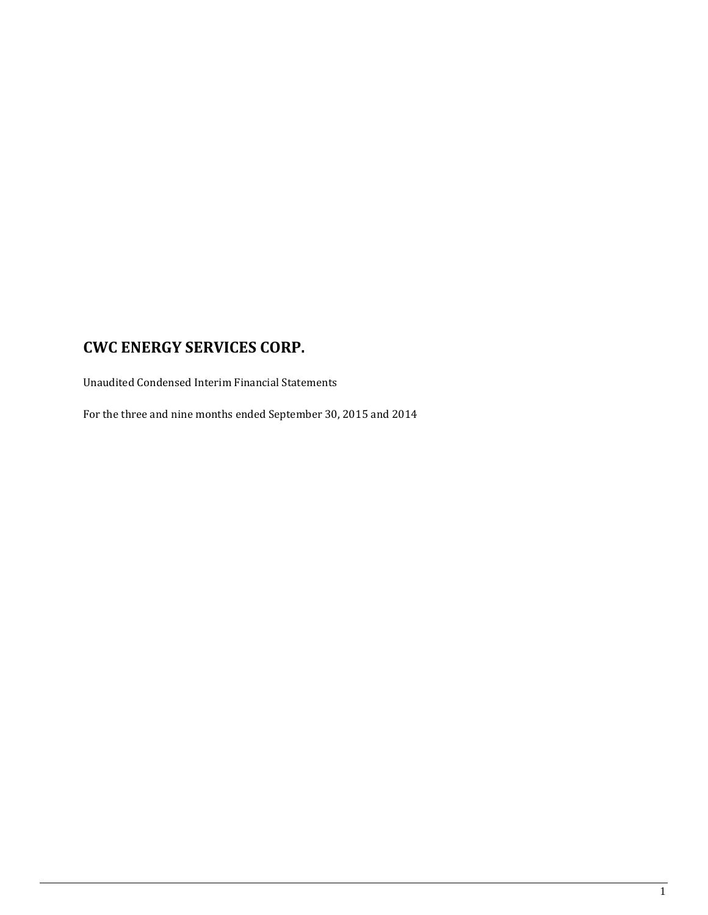Unaudited Condensed Interim Financial Statements

For the three and nine months ended September 30, 2015 and 2014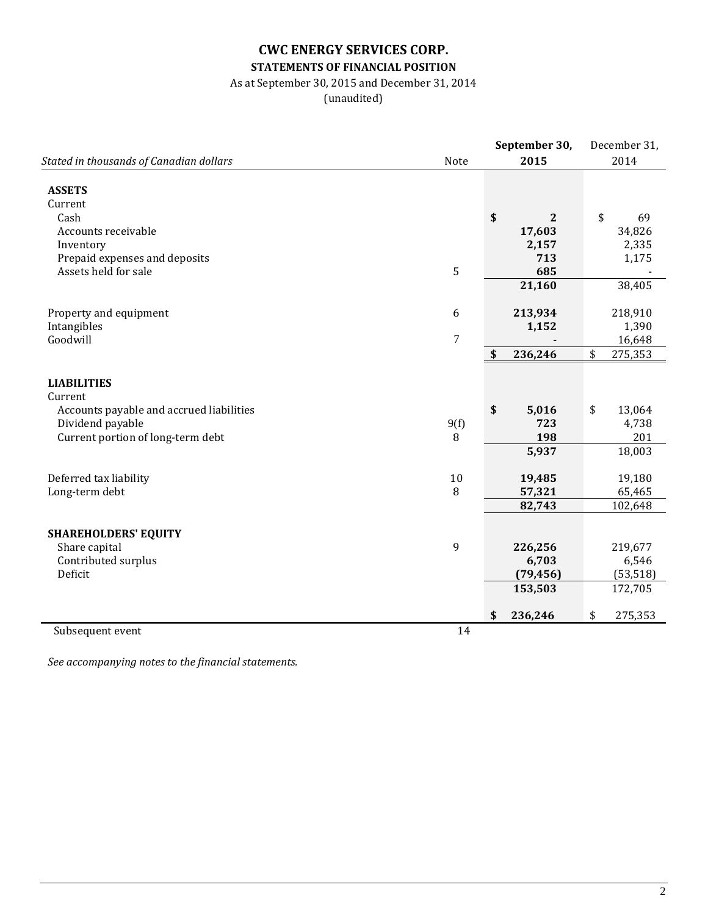# **CWC ENERGY SERVICES CORP. STATEMENTS OF FINANCIAL POSITION**

# As at September 30, 2015 and December 31, 2014

(unaudited)

|                                                       |                | September 30,      | December 31,  |
|-------------------------------------------------------|----------------|--------------------|---------------|
| Stated in thousands of Canadian dollars               | Note           | 2015               | 2014          |
|                                                       |                |                    |               |
| <b>ASSETS</b>                                         |                |                    |               |
| Current<br>Cash                                       |                | \$<br>$\mathbf{2}$ | \$<br>69      |
| Accounts receivable                                   |                | 17,603             | 34,826        |
|                                                       |                | 2,157              | 2,335         |
| Inventory                                             |                | 713                | 1,175         |
| Prepaid expenses and deposits<br>Assets held for sale | 5              | 685                |               |
|                                                       |                | 21,160             |               |
|                                                       |                |                    | 38,405        |
| Property and equipment                                | 6              | 213,934            | 218,910       |
| Intangibles                                           |                | 1,152              | 1,390         |
| Goodwill                                              | $\overline{7}$ |                    | 16,648        |
|                                                       |                | \$<br>236,246      | \$<br>275,353 |
|                                                       |                |                    |               |
| <b>LIABILITIES</b>                                    |                |                    |               |
| Current                                               |                |                    |               |
| Accounts payable and accrued liabilities              |                | \$<br>5,016        | \$<br>13,064  |
| Dividend payable                                      | 9(f)           | 723                | 4,738         |
| Current portion of long-term debt                     | 8              | 198                | 201           |
|                                                       |                | 5,937              | 18,003        |
|                                                       |                |                    |               |
| Deferred tax liability                                | 10             | 19,485             | 19,180        |
| Long-term debt                                        | 8              | 57,321             | 65,465        |
|                                                       |                | 82,743             | 102,648       |
|                                                       |                |                    |               |
| <b>SHAREHOLDERS' EQUITY</b>                           |                |                    |               |
| Share capital                                         | 9              | 226,256            | 219,677       |
| Contributed surplus                                   |                | 6,703              | 6,546         |
| Deficit                                               |                | (79, 456)          | (53, 518)     |
|                                                       |                | 153,503            | 172,705       |
|                                                       |                |                    |               |
|                                                       |                | \$<br>236,246      | \$<br>275,353 |
| Subsequent event                                      | 14             |                    |               |

*See accompanying notes to the financial statements.*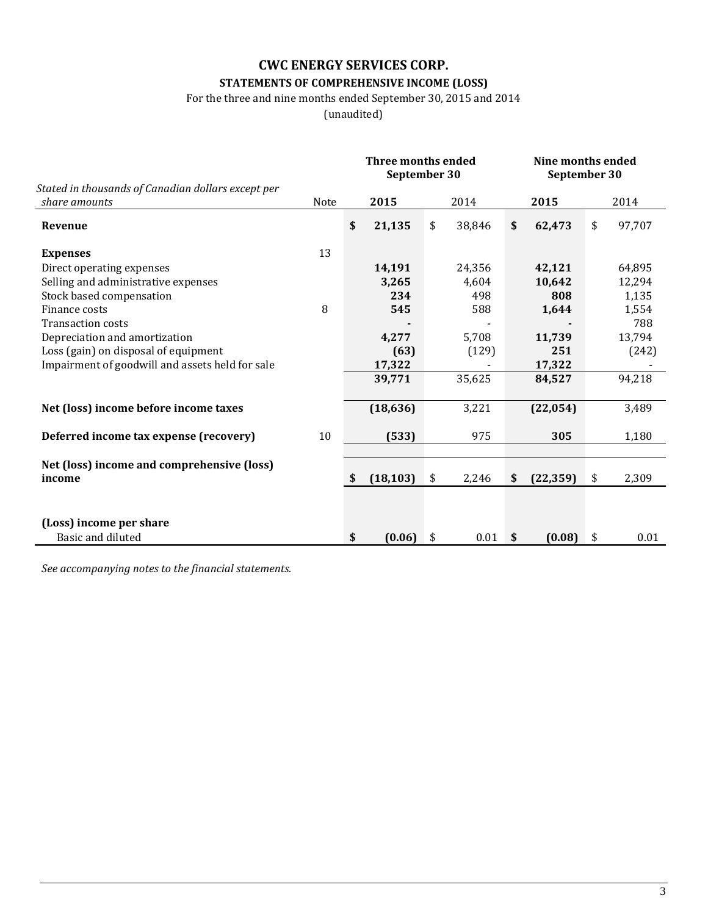# **STATEMENTS OF COMPREHENSIVE INCOME (LOSS)**

For the three and nine months ended September 30, 2015 and 2014

(unaudited)

|                                                                     |      |    | <b>Three months ended</b><br>September 30 |    | Nine months ended |                           |           |    |        |
|---------------------------------------------------------------------|------|----|-------------------------------------------|----|-------------------|---------------------------|-----------|----|--------|
|                                                                     |      |    |                                           |    |                   | September 30              |           |    |        |
| Stated in thousands of Canadian dollars except per<br>share amounts | Note |    | 2015                                      |    | 2014              |                           | 2015      |    | 2014   |
| Revenue                                                             |      | \$ | 21,135                                    | \$ | 38,846            | $\boldsymbol{\mathsf{s}}$ | 62,473    | \$ | 97,707 |
| <b>Expenses</b>                                                     | 13   |    |                                           |    |                   |                           |           |    |        |
| Direct operating expenses                                           |      |    | 14,191                                    |    | 24,356            |                           | 42,121    |    | 64,895 |
| Selling and administrative expenses                                 |      |    | 3,265                                     |    | 4,604             |                           | 10,642    |    | 12,294 |
| Stock based compensation                                            |      |    | 234                                       |    | 498               |                           | 808       |    | 1,135  |
| Finance costs                                                       | 8    |    | 545                                       |    | 588               |                           | 1,644     |    | 1,554  |
| <b>Transaction costs</b>                                            |      |    |                                           |    |                   |                           |           |    | 788    |
| Depreciation and amortization                                       |      |    | 4,277                                     |    | 5,708             |                           | 11,739    |    | 13,794 |
| Loss (gain) on disposal of equipment                                |      |    | (63)                                      |    | (129)             |                           | 251       |    | (242)  |
| Impairment of goodwill and assets held for sale                     |      |    | 17,322                                    |    |                   |                           | 17,322    |    |        |
|                                                                     |      |    | 39,771                                    |    | 35,625            |                           | 84,527    |    | 94,218 |
| Net (loss) income before income taxes                               |      |    | (18, 636)                                 |    | 3,221             |                           | (22, 054) |    | 3,489  |
| Deferred income tax expense (recovery)                              | 10   |    | (533)                                     |    | 975               |                           | 305       |    | 1,180  |
|                                                                     |      |    |                                           |    |                   |                           |           |    |        |
| Net (loss) income and comprehensive (loss)<br>income                |      | S  | (18, 103)                                 | \$ | 2,246             | \$                        | (22, 359) | \$ | 2,309  |
|                                                                     |      |    |                                           |    |                   |                           |           |    |        |
| (Loss) income per share                                             |      |    |                                           |    |                   |                           |           |    |        |
| Basic and diluted                                                   |      | \$ | (0.06)                                    | \$ | 0.01              | \$                        | (0.08)    | \$ | 0.01   |

*See accompanying notes to the financial statements.*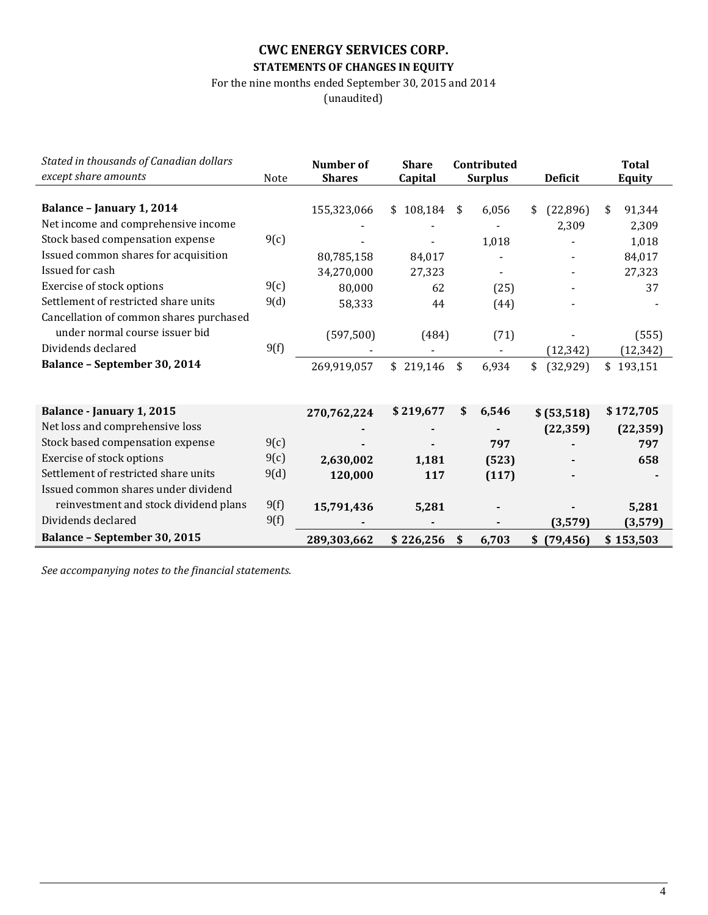# **CWC ENERGY SERVICES CORP. STATEMENTS OF CHANGES IN EQUITY**

For the nine months ended September 30, 2015 and 2014

(unaudited)

| Stated in thousands of Canadian dollars<br>except share amounts |      | Number of<br><b>Shares</b> | <b>Share</b> | Contributed    | <b>Deficit</b>  | <b>Total</b> |
|-----------------------------------------------------------------|------|----------------------------|--------------|----------------|-----------------|--------------|
|                                                                 | Note |                            | Capital      | <b>Surplus</b> |                 | Equity       |
| Balance - January 1, 2014                                       |      | 155,323,066                | \$108,184    | \$<br>6,056    | \$<br>(22,896)  | \$<br>91,344 |
| Net income and comprehensive income                             |      |                            |              |                | 2,309           | 2,309        |
| Stock based compensation expense                                | 9(c) |                            |              | 1,018          |                 | 1,018        |
| Issued common shares for acquisition                            |      | 80,785,158                 | 84,017       |                |                 | 84,017       |
| Issued for cash                                                 |      | 34,270,000                 | 27,323       |                |                 | 27,323       |
| Exercise of stock options                                       | 9(c) | 80,000                     | 62           | (25)           |                 | 37           |
| Settlement of restricted share units                            | 9(d) | 58,333                     | 44           | (44)           |                 |              |
| Cancellation of common shares purchased                         |      |                            |              |                |                 |              |
| under normal course issuer bid                                  |      | (597, 500)                 | (484)        | (71)           |                 | (555)        |
| Dividends declared                                              | 9(f) |                            |              |                | (12, 342)       | (12, 342)    |
| Balance - September 30, 2014                                    |      | 269,919,057                | \$219,146    | \$<br>6,934    | \$<br>(32, 929) | \$193,151    |
|                                                                 |      |                            |              |                |                 |              |
|                                                                 |      |                            |              |                |                 |              |
| Balance - January 1, 2015                                       |      | 270,762,224                | \$219,677    | \$<br>6,546    | \$ (53,518)     | \$172,705    |
| Net loss and comprehensive loss                                 |      |                            |              |                | (22, 359)       | (22, 359)    |
| Stock based compensation expense                                | 9(c) |                            |              | 797            |                 | 797          |
| Exercise of stock options                                       | 9(c) | 2,630,002                  | 1,181        | (523)          |                 | 658          |
| Settlement of restricted share units                            | 9(d) | 120,000                    | 117          | (117)          |                 |              |
| Issued common shares under dividend                             |      |                            |              |                |                 |              |
| reinvestment and stock dividend plans                           | 9(f) | 15,791,436                 | 5,281        |                |                 | 5,281        |
| Dividends declared                                              | 9(f) |                            |              |                | (3,579)         | (3,579)      |
| Balance - September 30, 2015                                    |      | 289,303,662                | \$226,256    | \$<br>6,703    | \$(79, 456)     | \$153,503    |

*See accompanying notes to the financial statements.*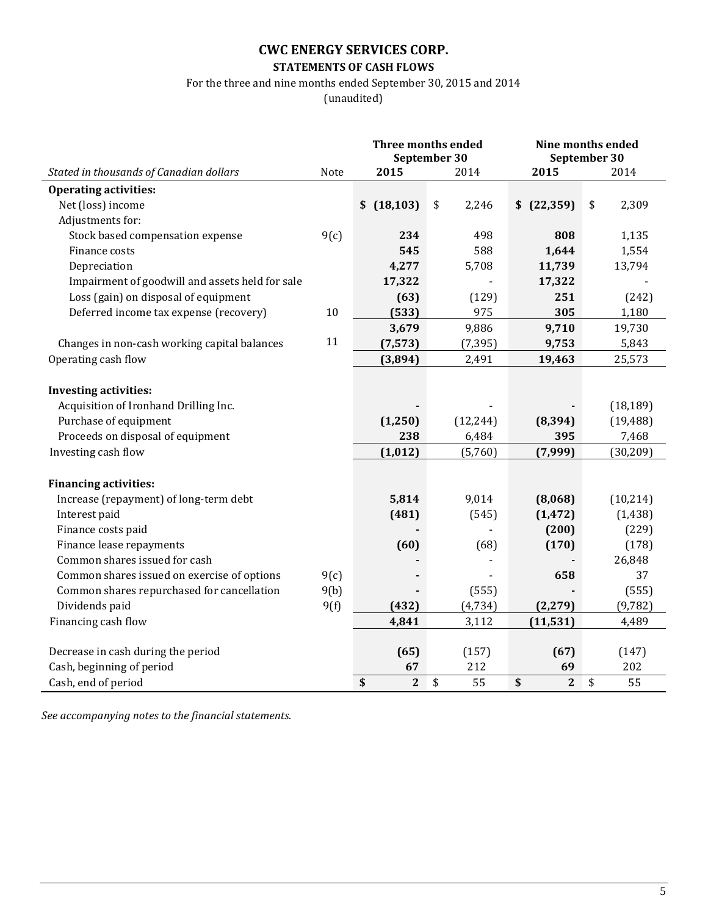# **STATEMENTS OF CASH FLOWS**

For the three and nine months ended September 30, 2015 and 2014

(unaudited)

|                                                 |      |                    | <b>Three months ended</b><br>September 30 | Nine months ended<br>September 30 |             |  |
|-------------------------------------------------|------|--------------------|-------------------------------------------|-----------------------------------|-------------|--|
| Stated in thousands of Canadian dollars         | Note | 2015               | 2014                                      | 2015                              | 2014        |  |
| <b>Operating activities:</b>                    |      |                    |                                           |                                   |             |  |
| Net (loss) income                               |      | \$(18, 103)        | $\sqrt{2}$<br>2,246                       | $$$ $(22,359)$                    | \$<br>2,309 |  |
| Adjustments for:                                |      |                    |                                           |                                   |             |  |
| Stock based compensation expense                | 9(c) | 234                | 498                                       | 808                               | 1,135       |  |
| Finance costs                                   |      | 545                | 588                                       | 1,644                             | 1,554       |  |
| Depreciation                                    |      | 4,277              | 5,708                                     | 11,739                            | 13,794      |  |
| Impairment of goodwill and assets held for sale |      | 17,322             |                                           | 17,322                            |             |  |
| Loss (gain) on disposal of equipment            |      | (63)               | (129)                                     | 251                               | (242)       |  |
| Deferred income tax expense (recovery)          | 10   | (533)              | 975                                       | 305                               | 1,180       |  |
|                                                 |      | 3,679              | 9,886                                     | 9,710                             | 19,730      |  |
| Changes in non-cash working capital balances    | 11   | (7, 573)           | (7, 395)                                  | 9,753                             | 5,843       |  |
| Operating cash flow                             |      | (3,894)            | 2,491                                     | 19,463                            | 25,573      |  |
|                                                 |      |                    |                                           |                                   |             |  |
| <b>Investing activities:</b>                    |      |                    |                                           |                                   |             |  |
| Acquisition of Ironhand Drilling Inc.           |      |                    |                                           |                                   | (18, 189)   |  |
| Purchase of equipment                           |      | (1,250)            | (12, 244)                                 | (8, 394)                          | (19, 488)   |  |
| Proceeds on disposal of equipment               |      | 238                | 6,484                                     | 395                               | 7,468       |  |
| Investing cash flow                             |      | (1, 012)           | (5,760)                                   | (7,999)                           | (30, 209)   |  |
|                                                 |      |                    |                                           |                                   |             |  |
| <b>Financing activities:</b>                    |      |                    |                                           |                                   |             |  |
| Increase (repayment) of long-term debt          |      | 5,814              | 9,014                                     | (8,068)                           | (10, 214)   |  |
| Interest paid                                   |      | (481)              | (545)                                     | (1, 472)                          | (1, 438)    |  |
| Finance costs paid                              |      |                    |                                           | (200)                             | (229)       |  |
| Finance lease repayments                        |      | (60)               | (68)                                      | (170)                             | (178)       |  |
| Common shares issued for cash                   |      |                    |                                           |                                   | 26,848      |  |
| Common shares issued on exercise of options     | 9(c) |                    |                                           | 658                               | 37          |  |
| Common shares repurchased for cancellation      | 9(b) |                    | (555)                                     |                                   | (555)       |  |
| Dividends paid                                  | 9(f) | (432)              | (4, 734)                                  | (2, 279)                          | (9, 782)    |  |
| Financing cash flow                             |      | 4,841              | 3,112                                     | (11, 531)                         | 4,489       |  |
|                                                 |      |                    |                                           |                                   |             |  |
| Decrease in cash during the period              |      | (65)               | (157)                                     | (67)                              | (147)       |  |
| Cash, beginning of period                       |      | 67                 | 212                                       | 69                                | 202         |  |
| Cash, end of period                             |      | \$<br>$\mathbf{2}$ | \$<br>55                                  | \$<br>$\mathbf{2}$                | \$<br>55    |  |

*See accompanying notes to the financial statements*.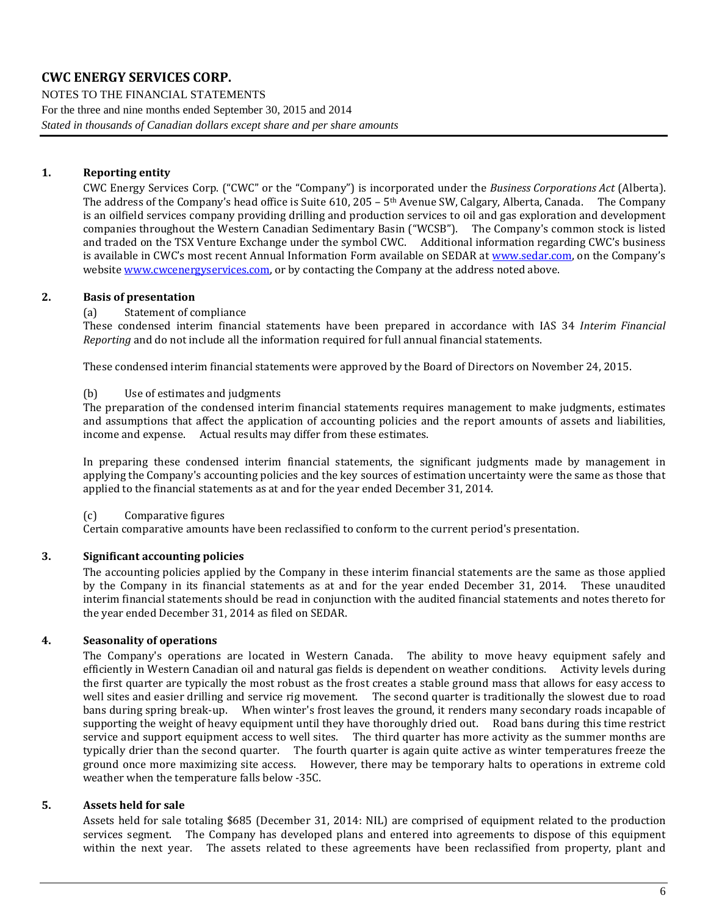NOTES TO THE FINANCIAL STATEMENTS For the three and nine months ended September 30, 2015 and 2014 *Stated in thousands of Canadian dollars except share and per share amounts*

### **1. Reporting entity**

CWC Energy Services Corp. ("CWC" or the "Company") is incorporated under the *Business Corporations Act* (Alberta). The address of the Company's head office is Suite 610, 205 –  $5<sup>th</sup>$  Avenue SW, Calgary, Alberta, Canada. The Company is an oilfield services company providing drilling and production services to oil and gas exploration and development companies throughout the Western Canadian Sedimentary Basin ("WCSB"). The Company's common stock is listed and traded on the TSX Venture Exchange under the symbol CWC. Additional information regarding CWC's business is available in CWC's most recent Annual Information Form available on SEDAR at [www.sedar.com,](http://www.sedar.com/) on the Company's websit[e www.cwcenergyservices.com,](http://www.cwcenergyservices.com/) or by contacting the Company at the address noted above.

### **2. Basis of presentation**

### (a) Statement of compliance

These condensed interim financial statements have been prepared in accordance with IAS 34 *Interim Financial Reporting* and do not include all the information required for full annual financial statements.

These condensed interim financial statements were approved by the Board of Directors on November 24, 2015.

#### (b) Use of estimates and judgments

The preparation of the condensed interim financial statements requires management to make judgments, estimates and assumptions that affect the application of accounting policies and the report amounts of assets and liabilities, income and expense. Actual results may differ from these estimates.

In preparing these condensed interim financial statements, the significant judgments made by management in applying the Company's accounting policies and the key sources of estimation uncertainty were the same as those that applied to the financial statements as at and for the year ended December 31, 2014.

(c) Comparative figures

Certain comparative amounts have been reclassified to conform to the current period's presentation.

### **3. Significant accounting policies**

The accounting policies applied by the Company in these interim financial statements are the same as those applied by the Company in its financial statements as at and for the year ended December 31, 2014. These unaudited interim financial statements should be read in conjunction with the audited financial statements and notes thereto for the year ended December 31, 2014 as filed on SEDAR.

#### **4. Seasonality of operations**

The Company's operations are located in Western Canada. The ability to move heavy equipment safely and efficiently in Western Canadian oil and natural gas fields is dependent on weather conditions. Activity levels during the first quarter are typically the most robust as the frost creates a stable ground mass that allows for easy access to well sites and easier drilling and service rig movement. The second quarter is traditionally the slowest due to road bans during spring break-up. When winter's frost leaves the ground, it renders many secondary roads incapable of supporting the weight of heavy equipment until they have thoroughly dried out. Road bans during this time restrict service and support equipment access to well sites. The third quarter has more activity as the summer months are typically drier than the second quarter. The fourth quarter is again quite active as winter temperatures freeze the ground once more maximizing site access. However, there may be temporary halts to operations in extreme cold weather when the temperature falls below -35C.

#### <span id="page-5-0"></span>**5. Assets held for sale**

Assets held for sale totaling \$685 (December 31, 2014: NIL) are comprised of equipment related to the production services segment. The Company has developed plans and entered into agreements to dispose of this equipment within the next year. The assets related to these agreements have been reclassified from property, plant and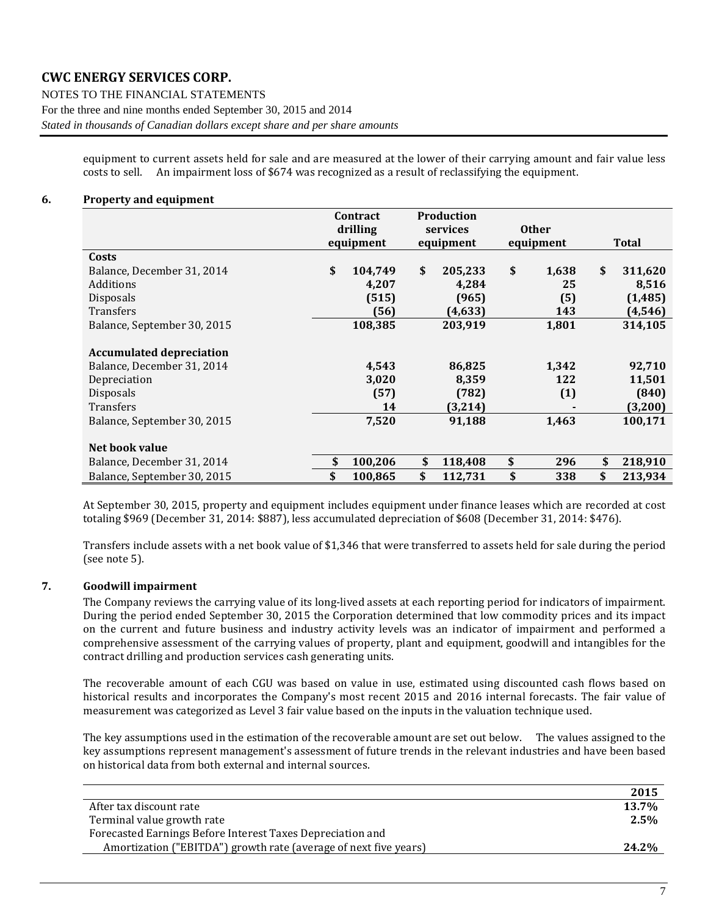NOTES TO THE FINANCIAL STATEMENTS For the three and nine months ended September 30, 2015 and 2014 *Stated in thousands of Canadian dollars except share and per share amounts*

> equipment to current assets held for sale and are measured at the lower of their carrying amount and fair value less costs to sell. An impairment loss of \$674 was recognized as a result of reclassifying the equipment.

### <span id="page-6-0"></span>**6. Property and equipment**

|                                 | <b>Production</b><br>Contract |           |               |    |              |               |
|---------------------------------|-------------------------------|-----------|---------------|----|--------------|---------------|
|                                 | drilling                      |           | services      |    | <b>Other</b> |               |
|                                 |                               | equipment | equipment     |    | equipment    | <b>Total</b>  |
| Costs                           |                               |           |               |    |              |               |
| Balance, December 31, 2014      | \$                            | 104,749   | \$<br>205,233 | \$ | 1,638        | \$<br>311,620 |
| Additions                       |                               | 4,207     | 4,284         |    | 25           | 8,516         |
| Disposals                       |                               | (515)     | (965)         |    | (5)          | (1, 485)      |
| Transfers                       |                               | (56)      | (4, 633)      |    | 143          | (4, 546)      |
| Balance, September 30, 2015     |                               | 108,385   | 203,919       |    | 1,801        | 314,105       |
| <b>Accumulated depreciation</b> |                               |           |               |    |              |               |
| Balance, December 31, 2014      |                               | 4,543     | 86,825        |    | 1,342        | 92,710        |
| Depreciation                    |                               | 3,020     | 8,359         |    | 122          | 11,501        |
| <b>Disposals</b>                |                               | (57)      | (782)         |    | (1)          | (840)         |
| Transfers                       |                               | 14        | (3,214)       |    |              | (3,200)       |
| Balance, September 30, 2015     |                               | 7,520     | 91,188        |    | 1,463        | 100,171       |
| Net book value                  |                               |           |               |    |              |               |
| Balance, December 31, 2014      |                               | 100,206   | \$<br>118,408 | \$ | 296          | \$<br>218,910 |
| Balance, September 30, 2015     | \$                            | 100,865   | \$<br>112,731 | \$ | 338          | \$<br>213,934 |

At September 30, 2015, property and equipment includes equipment under finance leases which are recorded at cost totaling \$969 (December 31, 2014: \$887), less accumulated depreciation of \$608 (December 31, 2014: \$476).

Transfers include assets with a net book value of \$1,346 that were transferred to assets held for sale during the period (see note 5).

### <span id="page-6-1"></span>**7. Goodwill impairment**

The Company reviews the carrying value of its long-lived assets at each reporting period for indicators of impairment. During the period ended September 30, 2015 the Corporation determined that low commodity prices and its impact on the current and future business and industry activity levels was an indicator of impairment and performed a comprehensive assessment of the carrying values of property, plant and equipment, goodwill and intangibles for the contract drilling and production services cash generating units.

The recoverable amount of each CGU was based on value in use, estimated using discounted cash flows based on historical results and incorporates the Company's most recent 2015 and 2016 internal forecasts. The fair value of measurement was categorized as Level 3 fair value based on the inputs in the valuation technique used.

The key assumptions used in the estimation of the recoverable amount are set out below. The values assigned to the key assumptions represent management's assessment of future trends in the relevant industries and have been based on historical data from both external and internal sources.

|                                                                  | 2015  |
|------------------------------------------------------------------|-------|
| After tax discount rate                                          | 13.7% |
| Terminal value growth rate                                       | 2.5%  |
| Forecasted Earnings Before Interest Taxes Depreciation and       |       |
| Amortization ("EBITDA") growth rate (average of next five years) | 24.2% |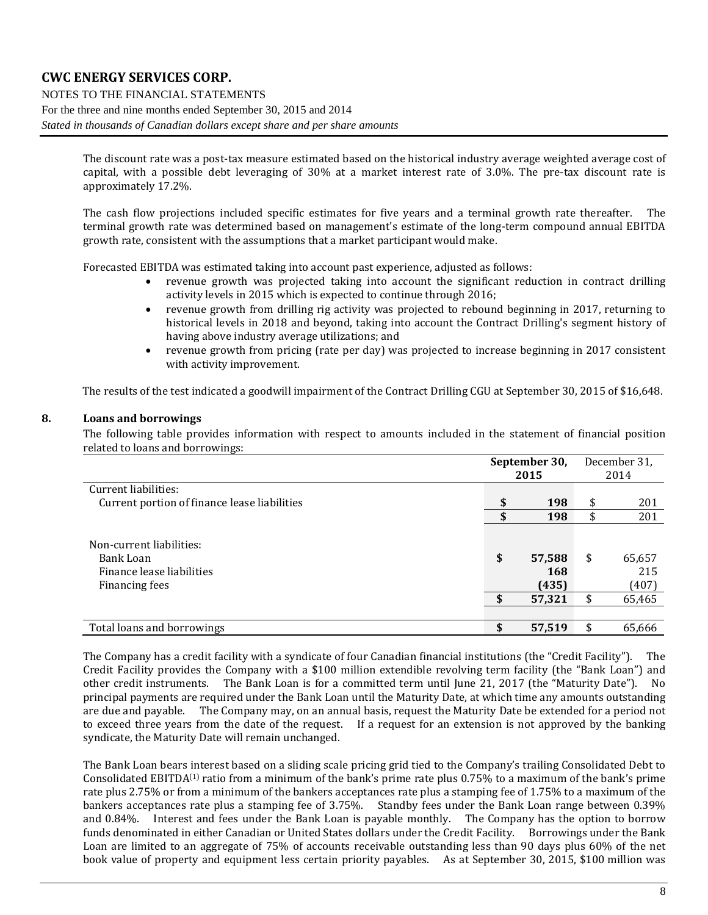NOTES TO THE FINANCIAL STATEMENTS For the three and nine months ended September 30, 2015 and 2014 *Stated in thousands of Canadian dollars except share and per share amounts*

> The discount rate was a post-tax measure estimated based on the historical industry average weighted average cost of capital, with a possible debt leveraging of 30% at a market interest rate of 3.0%. The pre-tax discount rate is approximately 17.2%.

> The cash flow projections included specific estimates for five years and a terminal growth rate thereafter. The terminal growth rate was determined based on management's estimate of the long-term compound annual EBITDA growth rate, consistent with the assumptions that a market participant would make.

Forecasted EBITDA was estimated taking into account past experience, adjusted as follows:

- revenue growth was projected taking into account the significant reduction in contract drilling activity levels in 2015 which is expected to continue through 2016;
- revenue growth from drilling rig activity was projected to rebound beginning in 2017, returning to historical levels in 2018 and beyond, taking into account the Contract Drilling's segment history of having above industry average utilizations; and
- revenue growth from pricing (rate per day) was projected to increase beginning in 2017 consistent with activity improvement.

The results of the test indicated a goodwill impairment of the Contract Drilling CGU at September 30, 2015 of \$16,648.

### <span id="page-7-0"></span>**8. Loans and borrowings**

The following table provides information with respect to amounts included in the statement of financial position related to loans and borrowings:

|                                                                                      | September 30,<br>2015        | December 31,<br>2014 |                        |
|--------------------------------------------------------------------------------------|------------------------------|----------------------|------------------------|
| Current liabilities:                                                                 |                              |                      |                        |
| Current portion of finance lease liabilities                                         | \$<br>198                    | \$                   | 201                    |
|                                                                                      | \$<br>198                    | \$                   | 201                    |
| Non-current liabilities:<br>Bank Loan<br>Finance lease liabilities<br>Financing fees | \$<br>57,588<br>168<br>(435) | \$                   | 65,657<br>215<br>(407) |
|                                                                                      | 57,321                       |                      | 65,465                 |
|                                                                                      |                              |                      |                        |
| Total loans and borrowings                                                           | 57,519                       |                      | 65,666                 |

The Company has a credit facility with a syndicate of four Canadian financial institutions (the "Credit Facility"). The Credit Facility provides the Company with a \$100 million extendible revolving term facility (the "Bank Loan") and other credit instruments. The Bank Loan is for a committed term until June 21, 2017 (the "Maturity Date"). No principal payments are required under the Bank Loan until the Maturity Date, at which time any amounts outstanding are due and payable. The Company may, on an annual basis, request the Maturity Date be extended for a period not to exceed three years from the date of the request. If a request for an extension is not approved by the banking syndicate, the Maturity Date will remain unchanged.

The Bank Loan bears interest based on a sliding scale pricing grid tied to the Company's trailing Consolidated Debt to Consolidated EBITDA(1) ratio from a minimum of the bank's prime rate plus 0.75% to a maximum of the bank's prime rate plus 2.75% or from a minimum of the bankers acceptances rate plus a stamping fee of 1.75% to a maximum of the bankers acceptances rate plus a stamping fee of 3.75%. Standby fees under the Bank Loan range between 0.39% and 0.84%. Interest and fees under the Bank Loan is payable monthly. The Company has the option to borrow funds denominated in either Canadian or United States dollars under the Credit Facility. Borrowings under the Bank Loan are limited to an aggregate of 75% of accounts receivable outstanding less than 90 days plus 60% of the net book value of property and equipment less certain priority payables. As at September 30, 2015, \$100 million was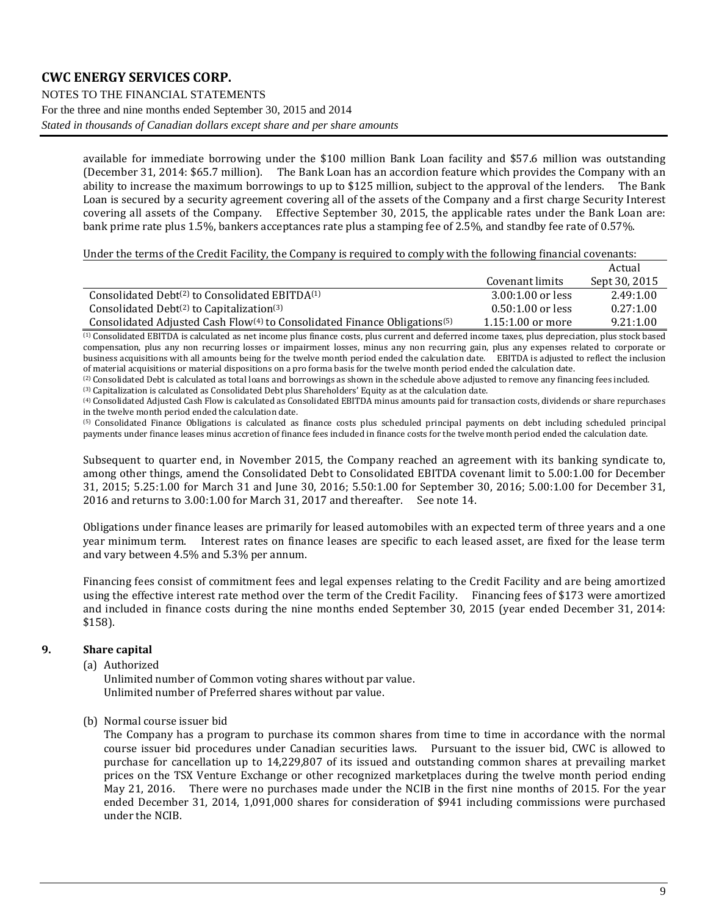### **CWC ENERGY SERVICES CORP.** NOTES TO THE FINANCIAL STATEMENTS For the three and nine months ended September 30, 2015 and 2014 *Stated in thousands of Canadian dollars except share and per share amounts*

available for immediate borrowing under the \$100 million Bank Loan facility and \$57.6 million was outstanding (December 31, 2014: \$65.7 million). The Bank Loan has an accordion feature which provides the Company with an ability to increase the maximum borrowings to up to \$125 million, subject to the approval of the lenders. The Ba ability to increase the maximum borrowings to up to \$125 million, subject to the approval of the lenders. Loan is secured by a security agreement covering all of the assets of the Company and a first charge Security Interest covering all assets of the Company. Effective September 30, 2015, the applicable rates under the Bank Loan are: bank prime rate plus 1.5%, bankers acceptances rate plus a stamping fee of 2.5%, and standby fee rate of 0.57%.

Under the terms of the Credit Facility, the Company is required to comply with the following financial covenants:

|                                                                                         |                     | Actual        |
|-----------------------------------------------------------------------------------------|---------------------|---------------|
|                                                                                         | Covenant limits     | Sept 30, 2015 |
| Consolidated Debt <sup>(2)</sup> to Consolidated EBITD $A^{(1)}$                        | $3.00:1.00$ or less | 2.49:1.00     |
| Consolidated Debt $(2)$ to Capitalization $(3)$                                         | $0.50:1.00$ or less | 0.27:1.00     |
| Consolidated Adjusted Cash $Flow(4)$ to Consolidated Finance Obligations <sup>(5)</sup> | $1.15:1.00$ or more | 9.21:1.00     |

(1) Consolidated EBITDA is calculated as net income plus finance costs, plus current and deferred income taxes, plus depreciation, plus stock based compensation, plus any non recurring losses or impairment losses, minus any non recurring gain, plus any expenses related to corporate or business acquisitions with all amounts being for the twelve month period ended the calculation date. EBITDA is adjusted to reflect the inclusion of material acquisitions or material dispositions on a pro forma basis for the twelve month period ended the calculation date.

(2) Consolidated Debt is calculated as total loans and borrowings as shown in the schedule above adjusted to remove any financing fees included. (3) Capitalization is calculated as Consolidated Debt plus Shareholders' Equity as at the calculation date.

(4) Consolidated Adjusted Cash Flow is calculated as Consolidated EBITDA minus amounts paid for transaction costs, dividends or share repurchases in the twelve month period ended the calculation date.

(5) Consolidated Finance Obligations is calculated as finance costs plus scheduled principal payments on debt including scheduled principal payments under finance leases minus accretion of finance fees included in finance costs for the twelve month period ended the calculation date.

Subsequent to quarter end, in November 2015, the Company reached an agreement with its banking syndicate to, among other things, amend the Consolidated Debt to Consolidated EBITDA covenant limit to 5.00:1.00 for December 31, 2015; 5.25:1.00 for March 31 and June 30, 2016; 5.50:1.00 for September 30, 2016; 5.00:1.00 for December 31, 2016 and returns to 3.00:1.00 for March 31, 2017 and thereafter. See not[e 14.](#page-15-0)

Obligations under finance leases are primarily for leased automobiles with an expected term of three years and a one year minimum term. Interest rates on finance leases are specific to each leased asset, are fixed for the lease term and vary between 4.5% and 5.3% per annum.

Financing fees consist of commitment fees and legal expenses relating to the Credit Facility and are being amortized using the effective interest rate method over the term of the Credit Facility. Financing fees of \$173 were amortized and included in finance costs during the nine months ended September 30, 2015 (year ended December 31, 2014: \$158).

### <span id="page-8-0"></span>**9. Share capital**

(a) Authorized

Unlimited number of Common voting shares without par value. Unlimited number of Preferred shares without par value.

(b) Normal course issuer bid

The Company has a program to purchase its common shares from time to time in accordance with the normal course issuer bid procedures under Canadian securities laws. Pursuant to the issuer bid, CWC is allowed to purchase for cancellation up to 14,229,807 of its issued and outstanding common shares at prevailing market prices on the TSX Venture Exchange or other recognized marketplaces during the twelve month period ending May 21, 2016. There were no purchases made under the NCIB in the first nine months of 2015. For the year ended December 31, 2014, 1,091,000 shares for consideration of \$941 including commissions were purchased under the NCIB.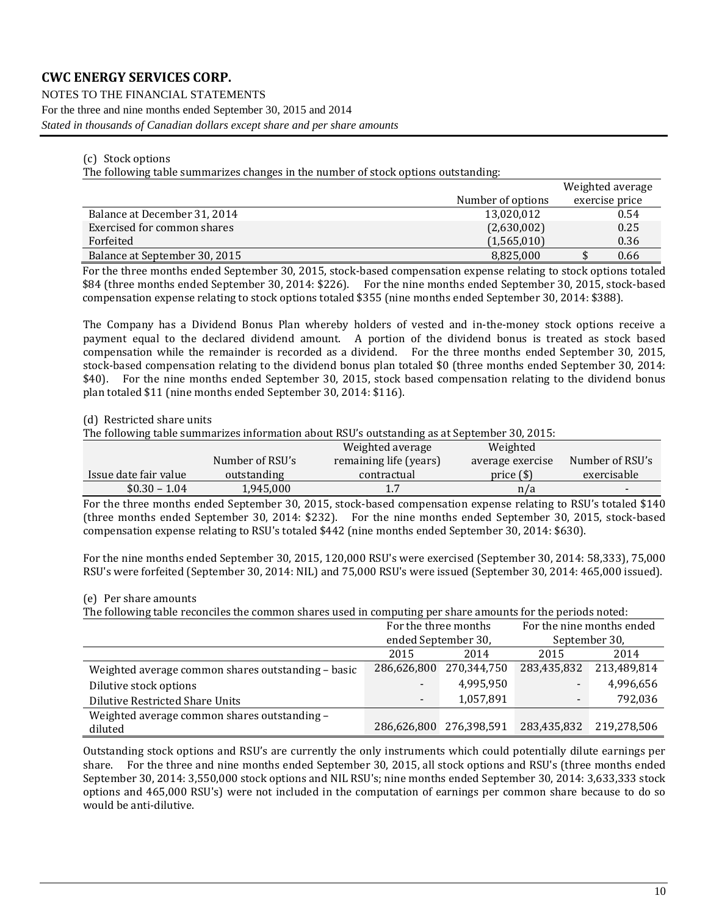NOTES TO THE FINANCIAL STATEMENTS For the three and nine months ended September 30, 2015 and 2014 *Stated in thousands of Canadian dollars except share and per share amounts*

#### (c) Stock options

The following table summarizes changes in the number of stock options outstanding:

|                               |                   | Weighted average |
|-------------------------------|-------------------|------------------|
|                               | Number of options | exercise price   |
| Balance at December 31, 2014  | 13,020,012        | 0.54             |
| Exercised for common shares   | (2,630,002)       | 0.25             |
| Forfeited                     | (1,565,010)       | 0.36             |
| Balance at September 30, 2015 | 8,825,000         | 0.66             |

For the three months ended September 30, 2015, stock-based compensation expense relating to stock options totaled \$84 (three months ended September 30, 2014: \$226). For the nine months ended September 30, 2015, stock-based compensation expense relating to stock options totaled \$355 (nine months ended September 30, 2014: \$388).

The Company has a Dividend Bonus Plan whereby holders of vested and in-the-money stock options receive a payment equal to the declared dividend amount. A portion of the dividend bonus is treated as stock based compensation while the remainder is recorded as a dividend. For the three months ended September 30, 2015, stock-based compensation relating to the dividend bonus plan totaled \$0 (three months ended September 30, 2014: \$40). For the nine months ended September 30, 2015, stock based compensation relating to the dividend bonus plan totaled \$11 (nine months ended September 30, 2014: \$116).

### (d) Restricted share units

The following table summarizes information about RSU's outstanding as at September 30, 2015:

|                       |                 | Weighted average       | Weighted         |                 |
|-----------------------|-----------------|------------------------|------------------|-----------------|
|                       | Number of RSU's | remaining life (years) | average exercise | Number of RSU's |
| Issue date fair value | outstanding     | contractual            | price $(\$)$     | exercisable     |
| $$0.30 - 1.04$        | 1,945,000       | 1.7                    | n/a              | -               |

For the three months ended September 30, 2015, stock-based compensation expense relating to RSU's totaled \$140 (three months ended September 30, 2014: \$232). For the nine months ended September 30, 2015, stock-based compensation expense relating to RSU's totaled \$442 (nine months ended September 30, 2014: \$630).

For the nine months ended September 30, 2015, 120,000 RSU's were exercised (September 30, 2014: 58,333), 75,000 RSU's were forfeited (September 30, 2014: NIL) and 75,000 RSU's were issued (September 30, 2014: 465,000 issued).

#### (e) Per share amounts

The following table reconciles the common shares used in computing per share amounts for the periods noted:

|                                                    |                     | For the three months    | For the nine months ended |             |  |
|----------------------------------------------------|---------------------|-------------------------|---------------------------|-------------|--|
|                                                    | ended September 30, |                         | September 30,             |             |  |
|                                                    | 2015                | 2014                    | 2015                      | 2014        |  |
| Weighted average common shares outstanding - basic | 286,626,800         | 270.344.750             | 283,435,832               | 213,489,814 |  |
| Dilutive stock options                             | $\,$                | 4,995,950               | $\blacksquare$            | 4,996,656   |  |
| <b>Dilutive Restricted Share Units</b>             | $\blacksquare$      | 1,057,891               | $\overline{\phantom{a}}$  | 792,036     |  |
| Weighted average common shares outstanding -       |                     |                         |                           |             |  |
| diluted                                            |                     | 286,626,800 276,398,591 | 283,435,832               | 219,278,506 |  |

Outstanding stock options and RSU's are currently the only instruments which could potentially dilute earnings per share. For the three and nine months ended September 30, 2015, all stock options and RSU's (three months ended September 30, 2014: 3,550,000 stock options and NIL RSU's; nine months ended September 30, 2014: 3,633,333 stock options and 465,000 RSU's) were not included in the computation of earnings per common share because to do so would be anti-dilutive.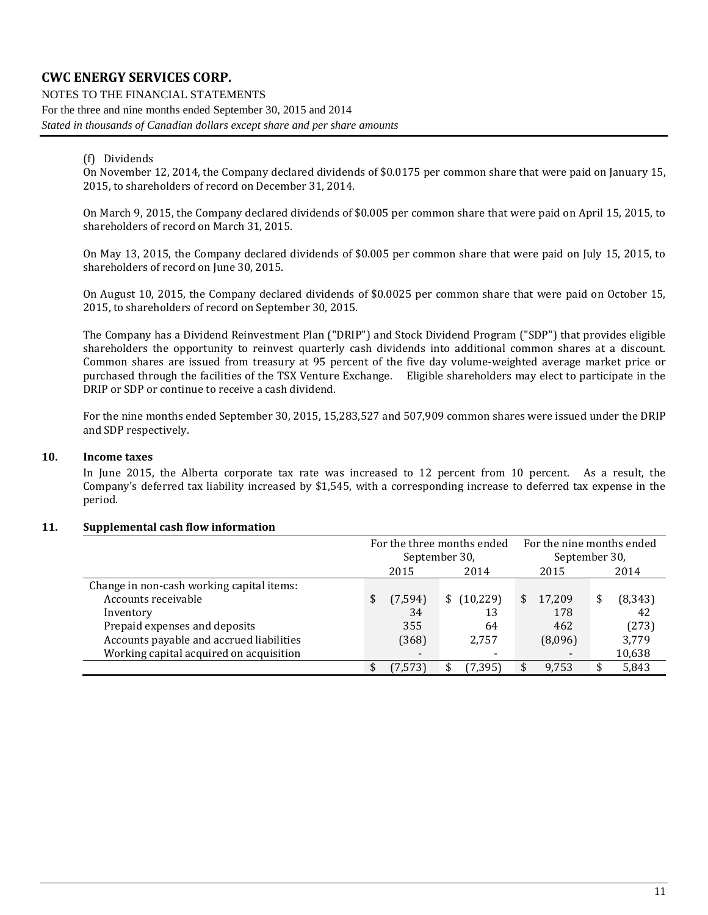NOTES TO THE FINANCIAL STATEMENTS For the three and nine months ended September 30, 2015 and 2014 *Stated in thousands of Canadian dollars except share and per share amounts*

#### (f) Dividends

On November 12, 2014, the Company declared dividends of \$0.0175 per common share that were paid on January 15, 2015, to shareholders of record on December 31, 2014.

On March 9, 2015, the Company declared dividends of \$0.005 per common share that were paid on April 15, 2015, to shareholders of record on March 31, 2015.

On May 13, 2015, the Company declared dividends of \$0.005 per common share that were paid on July 15, 2015, to shareholders of record on June 30, 2015.

On August 10, 2015, the Company declared dividends of \$0.0025 per common share that were paid on October 15, 2015, to shareholders of record on September 30, 2015.

The Company has a Dividend Reinvestment Plan ("DRIP") and Stock Dividend Program ("SDP") that provides eligible shareholders the opportunity to reinvest quarterly cash dividends into additional common shares at a discount. Common shares are issued from treasury at 95 percent of the five day volume-weighted average market price or purchased through the facilities of the TSX Venture Exchange. Eligible shareholders may elect to participate in the DRIP or SDP or continue to receive a cash dividend.

For the nine months ended September 30, 2015, 15,283,527 and 507,909 common shares were issued under the DRIP and SDP respectively.

### <span id="page-10-0"></span>**10. Income taxes**

In June 2015, the Alberta corporate tax rate was increased to 12 percent from 10 percent. As a result, the Company's deferred tax liability increased by \$1,545, with a corresponding increase to deferred tax expense in the period.

#### <span id="page-10-1"></span>**11. Supplemental cash flow information**

|                                           |                | For the three months ended | For the nine months ended |                |  |  |
|-------------------------------------------|----------------|----------------------------|---------------------------|----------------|--|--|
|                                           |                | September 30,              |                           | September 30,  |  |  |
|                                           | 2015           | 2014                       | 2015                      | 2014           |  |  |
| Change in non-cash working capital items: |                |                            |                           |                |  |  |
| Accounts receivable                       | (7, 594)<br>\$ | \$(10,229)                 | 17.209<br>\$              | (8, 343)<br>\$ |  |  |
| Inventory                                 | 34             | 13                         | 178                       | 42             |  |  |
| Prepaid expenses and deposits             | 355            | 64                         | 462                       | (273)          |  |  |
| Accounts payable and accrued liabilities  | (368)          | 2,757                      | (8,096)                   | 3.779          |  |  |
| Working capital acquired on acquisition   | $\blacksquare$ |                            | $\blacksquare$            | 10,638         |  |  |
|                                           | (7, 573)       | (7,395)                    | 9,753<br>\$               | 5,843          |  |  |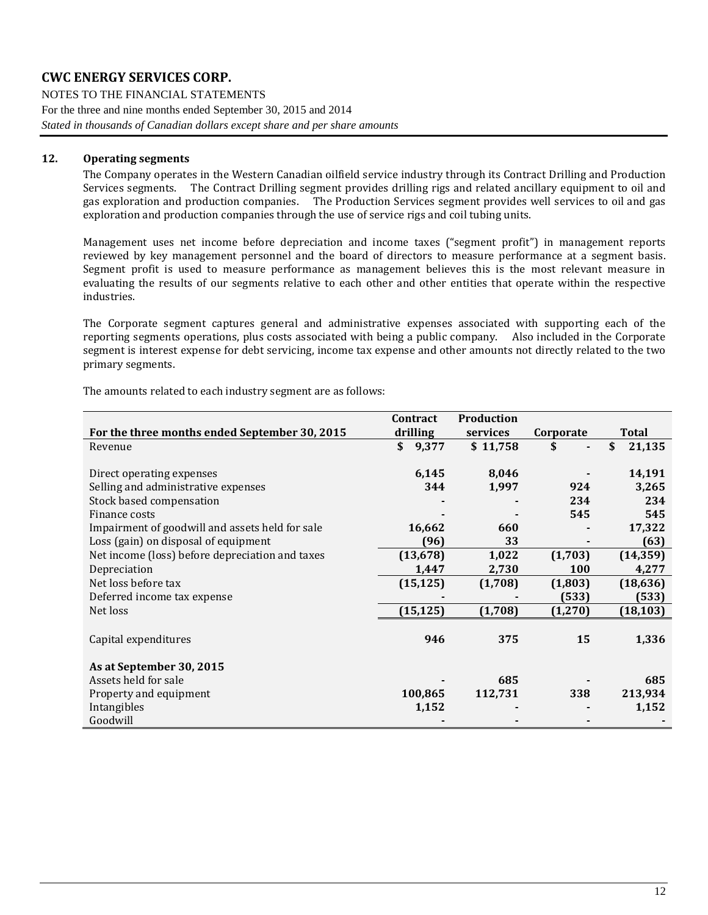NOTES TO THE FINANCIAL STATEMENTS For the three and nine months ended September 30, 2015 and 2014 *Stated in thousands of Canadian dollars except share and per share amounts*

### **12. Operating segments**

The Company operates in the Western Canadian oilfield service industry through its Contract Drilling and Production Services segments. The Contract Drilling segment provides drilling rigs and related ancillary equipment to oil and gas exploration and production companies. The Production Services segment provides well services to oil and gas exploration and production companies through the use of service rigs and coil tubing units.

Management uses net income before depreciation and income taxes ("segment profit") in management reports reviewed by key management personnel and the board of directors to measure performance at a segment basis. Segment profit is used to measure performance as management believes this is the most relevant measure in evaluating the results of our segments relative to each other and other entities that operate within the respective industries.

The Corporate segment captures general and administrative expenses associated with supporting each of the reporting segments operations, plus costs associated with being a public company. Also included in the Corporate segment is interest expense for debt servicing, income tax expense and other amounts not directly related to the two primary segments.

|                                                 | Contract    | <b>Production</b> |            |              |
|-------------------------------------------------|-------------|-------------------|------------|--------------|
| For the three months ended September 30, 2015   | drilling    | services          | Corporate  | Total        |
| Revenue                                         | 9,377<br>\$ | \$11,758          | S          | \$<br>21,135 |
|                                                 |             |                   |            |              |
| Direct operating expenses                       | 6,145       | 8,046             |            | 14,191       |
| Selling and administrative expenses             | 344         | 1,997             | 924        | 3,265        |
| Stock based compensation                        |             |                   | 234        | 234          |
| Finance costs                                   |             |                   | 545        | 545          |
| Impairment of goodwill and assets held for sale | 16,662      | 660               |            | 17,322       |
| Loss (gain) on disposal of equipment            | (96)        | 33                |            | (63)         |
| Net income (loss) before depreciation and taxes | (13, 678)   | 1,022             | (1,703)    | (14, 359)    |
| Depreciation                                    | 1,447       | 2,730             | <b>100</b> | 4,277        |
| Net loss before tax                             | (15, 125)   | (1,708)           | (1, 803)   | (18, 636)    |
| Deferred income tax expense                     |             |                   | (533)      | (533)        |
| Net loss                                        | (15, 125)   | (1,708)           | (1, 270)   | (18, 103)    |
|                                                 |             |                   |            |              |
| Capital expenditures                            | 946         | 375               | 15         | 1,336        |
| As at September 30, 2015                        |             |                   |            |              |
| Assets held for sale                            |             | 685               |            | 685          |
| Property and equipment                          | 100,865     | 112,731           | 338        | 213,934      |
| Intangibles                                     | 1,152       |                   |            | 1,152        |
| Goodwill                                        |             |                   |            |              |

The amounts related to each industry segment are as follows: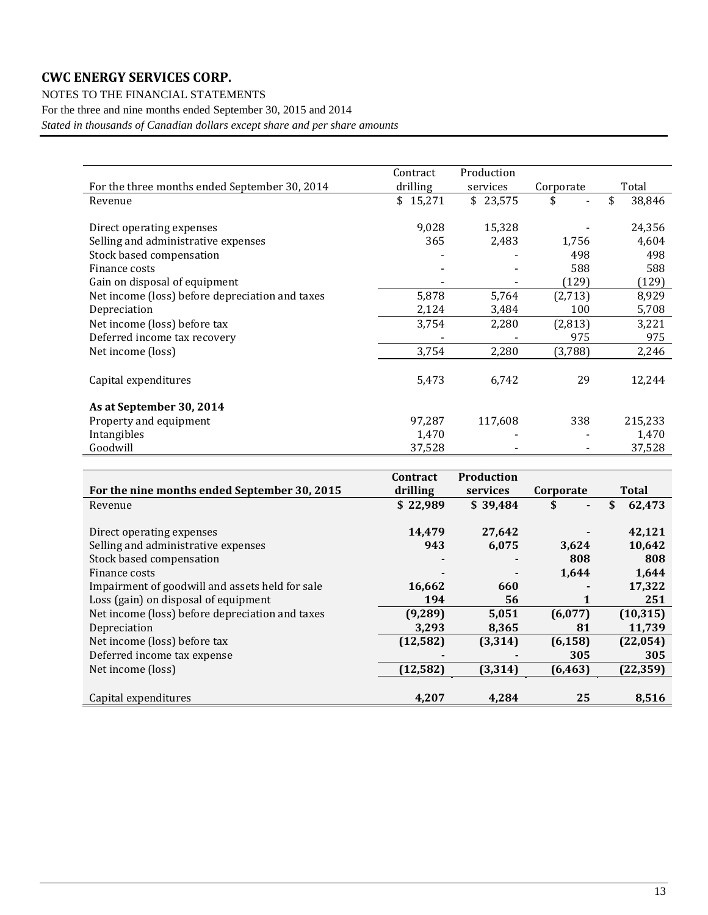NOTES TO THE FINANCIAL STATEMENTS

For the three and nine months ended September 30, 2015 and 2014

*Stated in thousands of Canadian dollars except share and per share amounts*

|                                                 | Contract | Production |           |              |
|-------------------------------------------------|----------|------------|-----------|--------------|
| For the three months ended September 30, 2014   | drilling | services   | Corporate | Total        |
| Revenue                                         | \$15,271 | \$23,575   |           | \$<br>38,846 |
|                                                 |          |            |           |              |
| Direct operating expenses                       | 9,028    | 15,328     |           | 24,356       |
| Selling and administrative expenses             | 365      | 2,483      | 1,756     | 4,604        |
| Stock based compensation                        |          |            | 498       | 498          |
| Finance costs                                   |          |            | 588       | 588          |
| Gain on disposal of equipment                   |          |            | (129)     | (129)        |
| Net income (loss) before depreciation and taxes | 5,878    | 5,764      | (2,713)   | 8,929        |
| Depreciation                                    | 2,124    | 3,484      | 100       | 5,708        |
| Net income (loss) before tax                    | 3,754    | 2,280      | (2,813)   | 3,221        |
| Deferred income tax recovery                    |          |            | 975       | 975          |
| Net income (loss)                               | 3,754    | 2,280      | (3,788)   | 2,246        |
| Capital expenditures                            | 5,473    | 6,742      | 29        | 12,244       |
| As at September 30, 2014                        |          |            |           |              |
| Property and equipment                          | 97,287   | 117,608    | 338       | 215,233      |
| Intangibles                                     | 1,470    |            |           | 1,470        |
| Goodwill                                        | 37,528   |            |           | 37,528       |

|                                                 | <b>Contract</b> | Production |                      |           |
|-------------------------------------------------|-----------------|------------|----------------------|-----------|
| For the nine months ended September 30, 2015    | drilling        | services   | Corporate            | Total     |
| Revenue                                         | \$22,989        | \$39,484   | \$<br>$\blacksquare$ | 62,473    |
|                                                 |                 |            |                      |           |
| Direct operating expenses                       | 14,479          | 27,642     |                      | 42,121    |
| Selling and administrative expenses             | 943             | 6,075      | 3,624                | 10,642    |
| Stock based compensation                        |                 |            | 808                  | 808       |
| Finance costs                                   |                 |            | 1,644                | 1,644     |
| Impairment of goodwill and assets held for sale | 16,662          | 660        |                      | 17,322    |
| Loss (gain) on disposal of equipment            | 194             | 56         |                      | 251       |
| Net income (loss) before depreciation and taxes | (9, 289)        | 5,051      | (6,077)              | (10, 315) |
| Depreciation                                    | 3,293           | 8,365      | 81                   | 11,739    |
| Net income (loss) before tax                    | (12, 582)       | (3, 314)   | (6, 158)             | (22, 054) |
| Deferred income tax expense                     |                 |            | 305                  | 305       |
| Net income (loss)                               | (12, 582)       | (3, 314)   | (6, 463)             | (22, 359) |
|                                                 |                 |            |                      |           |
| Capital expenditures                            | 4.207           | 4.284      | 25                   | 8.516     |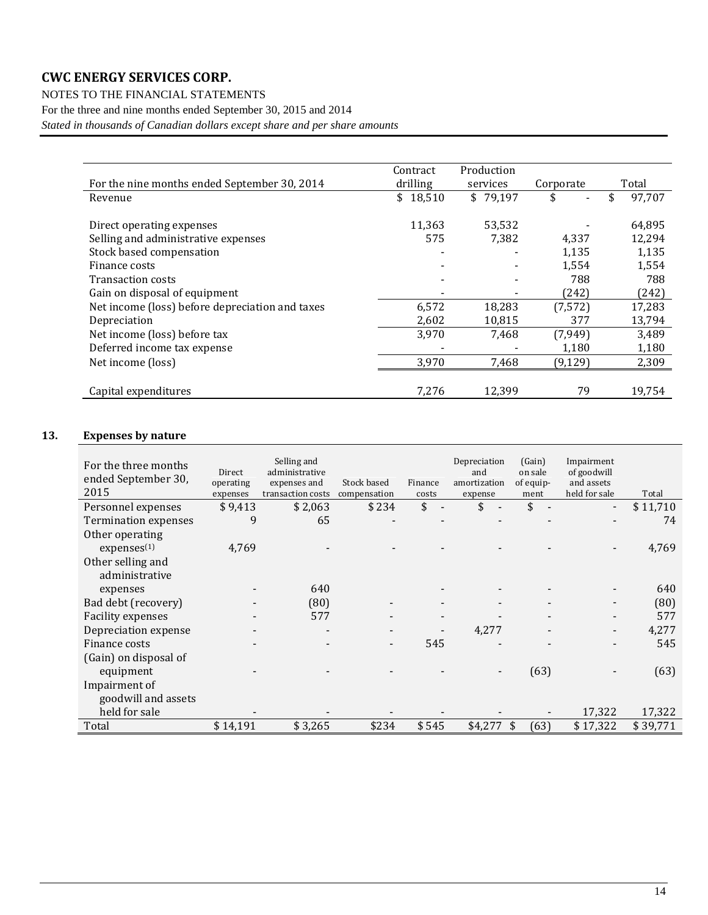NOTES TO THE FINANCIAL STATEMENTS

For the three and nine months ended September 30, 2015 and 2014

*Stated in thousands of Canadian dollars except share and per share amounts*

|                                                 | Contract | Production |           |        |
|-------------------------------------------------|----------|------------|-----------|--------|
| For the nine months ended September 30, 2014    | drilling | services   | Corporate | Total  |
| Revenue                                         | \$18,510 | \$79,197   | \$        | 97,707 |
|                                                 |          |            |           |        |
| Direct operating expenses                       | 11,363   | 53,532     |           | 64,895 |
| Selling and administrative expenses             | 575      | 7,382      | 4,337     | 12,294 |
| Stock based compensation                        |          |            | 1,135     | 1,135  |
| Finance costs                                   |          |            | 1,554     | 1,554  |
| <b>Transaction costs</b>                        |          |            | 788       | 788    |
| Gain on disposal of equipment                   |          |            | (242)     | (242)  |
| Net income (loss) before depreciation and taxes | 6,572    | 18,283     | (7, 572)  | 17,283 |
| Depreciation                                    | 2,602    | 10,815     | 377       | 13,794 |
| Net income (loss) before tax                    | 3,970    | 7,468      | (7, 949)  | 3,489  |
| Deferred income tax expense                     |          |            | 1,180     | 1,180  |
| Net income (loss)                               | 3,970    | 7,468      | (9, 129)  | 2,309  |
|                                                 |          |            |           |        |
| Capital expenditures                            | 7,276    | 12,399     | 79        | 19,754 |

### <span id="page-13-0"></span>**13. Expenses by nature**

| For the three months<br>ended September 30,<br>2015 | Direct<br>operating<br>expenses | Selling and<br>administrative<br>expenses and<br>transaction costs | Stock based<br>compensation | Finance<br>costs               | Depreciation<br>and<br>amortization<br>expense | (Gain)<br>on sale<br>of equip-<br>ment | Impairment<br>of goodwill<br>and assets<br>held for sale | Total    |
|-----------------------------------------------------|---------------------------------|--------------------------------------------------------------------|-----------------------------|--------------------------------|------------------------------------------------|----------------------------------------|----------------------------------------------------------|----------|
| Personnel expenses                                  | \$9,413                         | \$2,063                                                            | \$234                       | \$<br>$\overline{\phantom{a}}$ | \$                                             | \$                                     | $\qquad \qquad \blacksquare$                             | \$11,710 |
| Termination expenses                                | 9                               | 65                                                                 |                             |                                |                                                |                                        |                                                          | 74       |
| Other operating                                     |                                 |                                                                    |                             |                                |                                                |                                        |                                                          |          |
| expenses <sup>(1)</sup>                             | 4,769                           |                                                                    |                             |                                |                                                |                                        |                                                          | 4,769    |
| Other selling and                                   |                                 |                                                                    |                             |                                |                                                |                                        |                                                          |          |
| administrative                                      |                                 |                                                                    |                             |                                |                                                |                                        |                                                          |          |
| expenses                                            |                                 | 640                                                                |                             |                                |                                                |                                        |                                                          | 640      |
| Bad debt (recovery)                                 |                                 | (80)                                                               |                             |                                |                                                |                                        |                                                          | (80)     |
| <b>Facility expenses</b>                            |                                 | 577                                                                |                             |                                |                                                |                                        |                                                          | 577      |
| Depreciation expense                                |                                 |                                                                    |                             |                                | 4,277                                          |                                        |                                                          | 4,277    |
| Finance costs                                       |                                 |                                                                    |                             | 545                            |                                                |                                        |                                                          | 545      |
| (Gain) on disposal of                               |                                 |                                                                    |                             |                                |                                                |                                        |                                                          |          |
| equipment                                           |                                 |                                                                    |                             |                                |                                                | (63)                                   |                                                          | (63)     |
| Impairment of                                       |                                 |                                                                    |                             |                                |                                                |                                        |                                                          |          |
| goodwill and assets                                 |                                 |                                                                    |                             |                                |                                                |                                        |                                                          |          |
| held for sale                                       |                                 |                                                                    |                             |                                |                                                |                                        | 17,322                                                   | 17,322   |
| Total                                               | \$14,191                        | \$3,265                                                            | \$234                       | \$545                          | \$4,277                                        | (63)<br>\$                             | \$17,322                                                 | \$39.771 |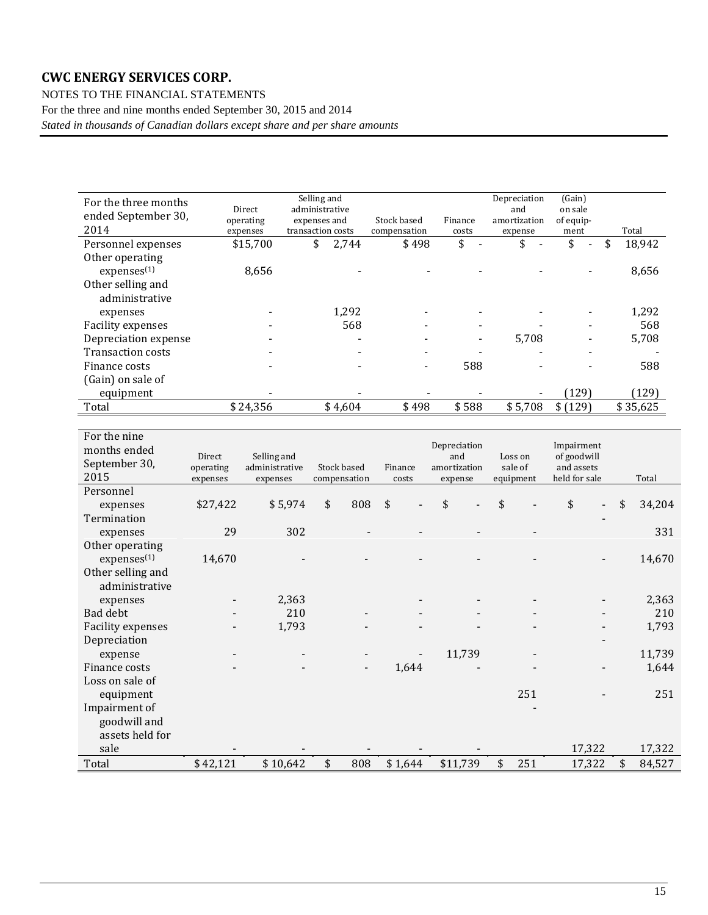NOTES TO THE FINANCIAL STATEMENTS For the three and nine months ended September 30, 2015 and 2014 *Stated in thousands of Canadian dollars except share and per share amounts*

| For the three months<br>ended September 30,<br>2014 | Direct<br>operating<br>expenses | Selling and<br>administrative<br>expenses and<br>transaction costs |         | Stock based<br>compensation | Finance<br>costs | Depreciation<br>and<br>amortization<br>expense | (Gain)<br>on sale<br>of equip-<br>ment | Total        |  |
|-----------------------------------------------------|---------------------------------|--------------------------------------------------------------------|---------|-----------------------------|------------------|------------------------------------------------|----------------------------------------|--------------|--|
| Personnel expenses                                  | \$15,700                        | \$                                                                 | 2,744   | \$498                       | \$               | \$                                             | \$<br>$\blacksquare$                   | 18,942<br>\$ |  |
| Other operating                                     |                                 |                                                                    |         |                             |                  |                                                |                                        |              |  |
| expenses <sup>(1)</sup>                             | 8,656                           |                                                                    |         |                             |                  |                                                |                                        | 8,656        |  |
| Other selling and                                   |                                 |                                                                    |         |                             |                  |                                                |                                        |              |  |
| administrative                                      |                                 |                                                                    |         |                             |                  |                                                |                                        |              |  |
| expenses                                            |                                 |                                                                    | 1,292   |                             |                  |                                                |                                        | 1,292        |  |
| <b>Facility expenses</b>                            |                                 |                                                                    | 568     |                             |                  |                                                |                                        | 568          |  |
| Depreciation expense                                |                                 |                                                                    |         |                             |                  | 5,708                                          |                                        | 5,708        |  |
| <b>Transaction costs</b>                            |                                 |                                                                    |         |                             |                  |                                                |                                        |              |  |
| Finance costs                                       |                                 |                                                                    |         |                             | 588              |                                                |                                        | 588          |  |
| (Gain) on sale of                                   |                                 |                                                                    |         |                             |                  |                                                |                                        |              |  |
| equipment                                           |                                 |                                                                    |         |                             |                  |                                                | (129)                                  | (129)        |  |
| Total                                               | \$24,356                        |                                                                    | \$4,604 | \$498                       | \$588            | \$5,708                                        | \$(129)                                | \$35,625     |  |

| For the nine<br>months ended<br>September 30, | Direct<br>operating | Selling and<br>administrative | Stock based  | Finance | Depreciation<br>and<br>amortization | Loss on<br>sale of | Impairment<br>of goodwill<br>and assets |              |
|-----------------------------------------------|---------------------|-------------------------------|--------------|---------|-------------------------------------|--------------------|-----------------------------------------|--------------|
| 2015                                          | expenses            | expenses                      | compensation | costs   | expense                             | equipment          | held for sale                           | Total        |
| Personnel                                     |                     |                               |              |         |                                     |                    |                                         |              |
| expenses                                      | \$27,422            | \$5,974                       | \$<br>808    | \$      | \$                                  | \$                 | \$                                      | \$<br>34,204 |
| Termination                                   |                     |                               |              |         |                                     |                    |                                         |              |
| expenses                                      | 29                  | 302                           |              |         |                                     |                    |                                         | 331          |
| Other operating                               |                     |                               |              |         |                                     |                    |                                         |              |
| express <sup>(1)</sup>                        | 14,670              |                               |              |         |                                     |                    |                                         | 14,670       |
| Other selling and<br>administrative           |                     |                               |              |         |                                     |                    |                                         |              |
| expenses                                      |                     | 2,363                         |              |         |                                     |                    |                                         | 2,363        |
| Bad debt                                      |                     | 210                           |              |         |                                     |                    |                                         | 210          |
| Facility expenses                             |                     | 1,793                         |              |         |                                     |                    |                                         | 1,793        |
| Depreciation                                  |                     |                               |              |         |                                     |                    |                                         |              |
| expense                                       |                     |                               |              |         | 11,739                              |                    |                                         | 11,739       |
| Finance costs                                 |                     |                               |              | 1,644   |                                     |                    |                                         | 1,644        |
| Loss on sale of                               |                     |                               |              |         |                                     |                    |                                         |              |
| equipment                                     |                     |                               |              |         |                                     | 251                |                                         | 251          |
| Impairment of                                 |                     |                               |              |         |                                     |                    |                                         |              |
| goodwill and                                  |                     |                               |              |         |                                     |                    |                                         |              |
| assets held for                               |                     |                               |              |         |                                     |                    |                                         |              |
| sale                                          |                     |                               |              |         |                                     |                    | 17,322                                  | 17,322       |
| Total                                         | \$42,121            | \$10,642                      | \$<br>808    | \$1,644 | \$11,739                            | \$<br>251          | 17,322                                  | \$<br>84,527 |